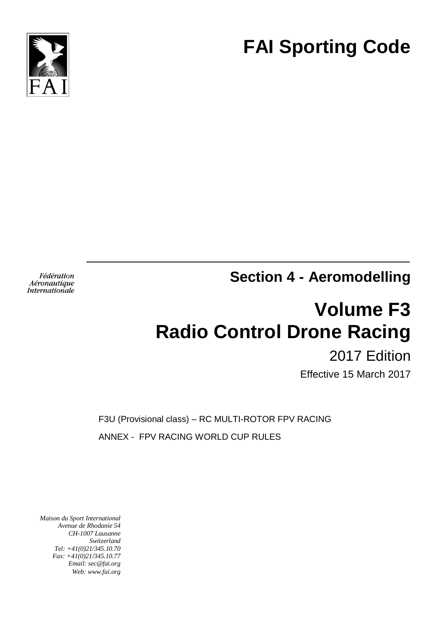**FAI Sporting Code**



Fédération Aéronautique **Internationale**  **Section 4 - Aeromodelling**

# **Volume F3 Radio Control Drone Racing**

2017 Edition Effective 15 March 2017

F3U (Provisional class) – RC MULTI-ROTOR FPV RACING ANNEX - FPV RACING WORLD CUP RULES

*Maison du Sport International Avenue de Rhodanie 54 CH-1007 Lausanne Switzerland Tel: +41(0)21/345.10.70 Fax: +41(0)21/345.10.77 Email: sec@fai.org Web: www.fai.org*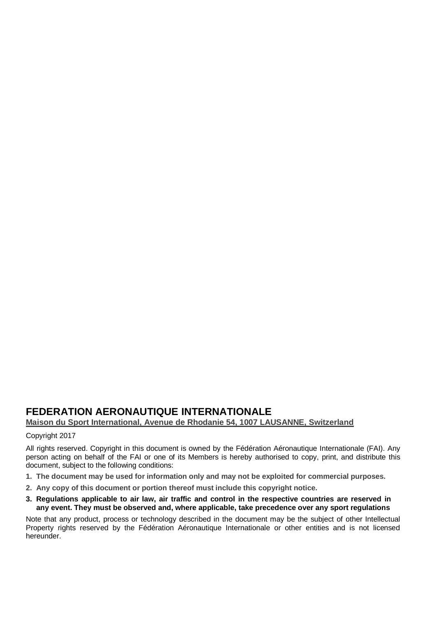### **FEDERATION AERONAUTIQUE INTERNATIONALE**

#### **Maison du Sport International, Avenue de Rhodanie 54, 1007 LAUSANNE, Switzerland**

#### Copyright 2017

All rights reserved. Copyright in this document is owned by the Fédération Aéronautique Internationale (FAI). Any person acting on behalf of the FAI or one of its Members is hereby authorised to copy, print, and distribute this document, subject to the following conditions:

- **1. The document may be used for information only and may not be exploited for commercial purposes.**
- **2. Any copy of this document or portion thereof must include this copyright notice.**
- **3. Regulations applicable to air law, air traffic and control in the respective countries are reserved in any event. They must be observed and, where applicable, take precedence over any sport regulations**

Note that any product, process or technology described in the document may be the subject of other Intellectual Property rights reserved by the Fédération Aéronautique Internationale or other entities and is not licensed hereunder.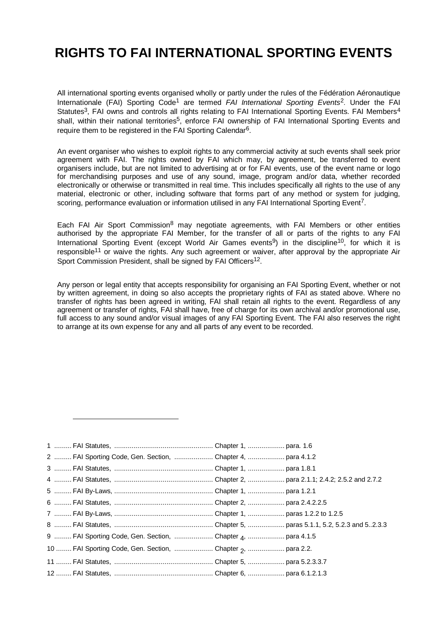## **RIGHTS TO FAI INTERNATIONAL SPORTING EVENTS**

All international sporting events organised wholly or partly under the rules of the Fédération Aéronautique Internationale (FAI) Sporting Code<sup>1</sup> are termed *FAI International Sporting Events*2. Under the FAI Statutes<sup>3</sup>, FAI owns and controls all rights relating to FAI International Sporting Events. FAI Members<sup>4</sup> shall, within their national territories<sup>5</sup>, enforce FAI ownership of FAI International Sporting Events and require them to be registered in the FAI Sporting Calendar6.

An event organiser who wishes to exploit rights to any commercial activity at such events shall seek prior agreement with FAI. The rights owned by FAI which may, by agreement, be transferred to event organisers include, but are not limited to advertising at or for FAI events, use of the event name or logo for merchandising purposes and use of any sound, image, program and/or data, whether recorded electronically or otherwise or transmitted in real time. This includes specifically all rights to the use of any material, electronic or other, including software that forms part of any method or system for judging, scoring, performance evaluation or information utilised in any FAI International Sporting Event<sup>7</sup>.

Each FAI Air Sport Commission<sup>8</sup> may negotiate agreements, with FAI Members or other entities authorised by the appropriate FAI Member, for the transfer of all or parts of the rights to any FAI International Sporting Event (except World Air Games events<sup>9</sup>) in the discipline<sup>10</sup>, for which it is responsible<sup>11</sup> or waive the rights. Any such agreement or waiver, after approval by the appropriate Air Sport Commission President, shall be signed by FAI Officers<sup>12</sup>.

Any person or legal entity that accepts responsibility for organising an FAI Sporting Event, whether or not by written agreement, in doing so also accepts the proprietary rights of FAI as stated above. Where no transfer of rights has been agreed in writing, FAI shall retain all rights to the event. Regardless of any agreement or transfer of rights, FAI shall have, free of charge for its own archival and/or promotional use, full access to any sound and/or visual images of any FAI Sporting Event. The FAI also reserves the right to arrange at its own expense for any and all parts of any event to be recorded.

| 2  FAI Sporting Code, Gen. Section,  Chapter 4,  para 4.1.2 |  |
|-------------------------------------------------------------|--|
|                                                             |  |
|                                                             |  |
|                                                             |  |
|                                                             |  |
|                                                             |  |
|                                                             |  |
| 9  FAI Sporting Code, Gen. Section,  Chapter 4,  para 4.1.5 |  |
| 10  FAI Sporting Code, Gen. Section,  Chapter 2,  para 2.2. |  |
|                                                             |  |
|                                                             |  |

1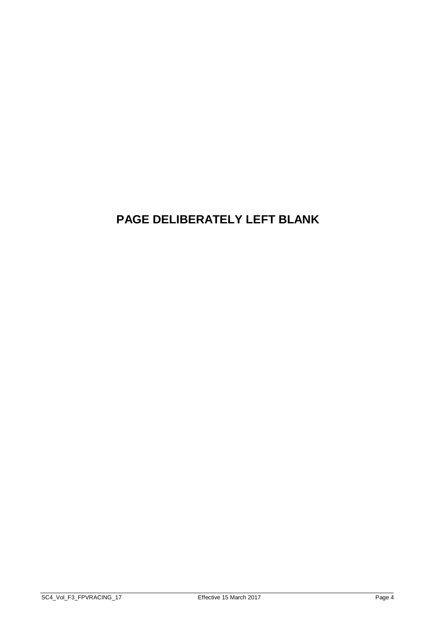## **PAGE DELIBERATELY LEFT BLANK**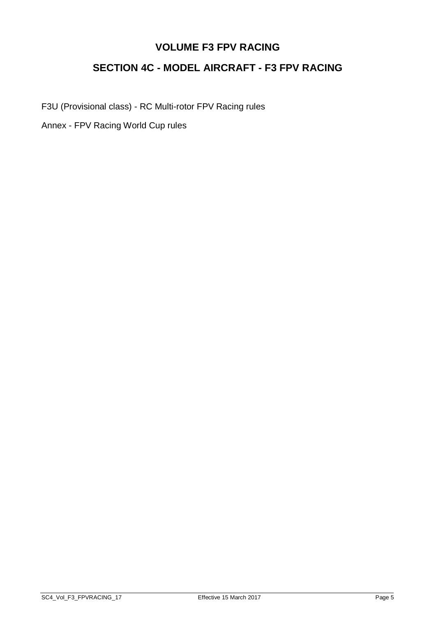### **VOLUME F3 FPV RACING**

### **SECTION 4C - MODEL AIRCRAFT - F3 FPV RACING**

F3U (Provisional class) - RC Multi-rotor FPV Racing rules

Annex - FPV Racing World Cup rules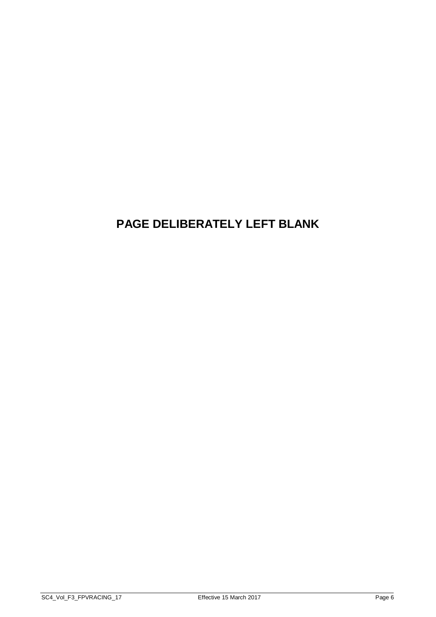## **PAGE DELIBERATELY LEFT BLANK**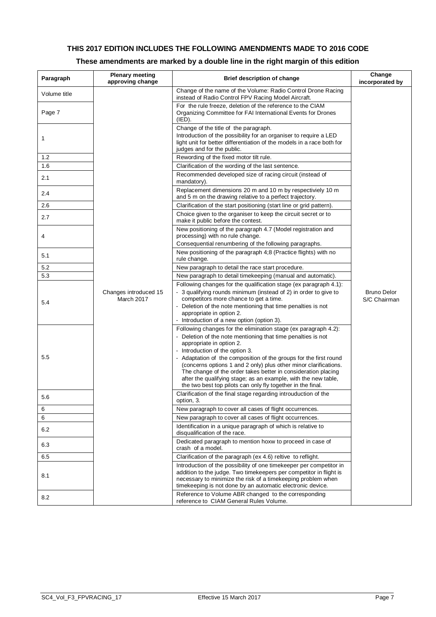### **THIS 2017 EDITION INCLUDES THE FOLLOWING AMENDMENTS MADE TO 2016 CODE**

#### **These amendments are marked by a double line in the right margin of this edition**

| Paragraph    | <b>Plenary meeting</b><br>approving change | <b>Brief description of change</b>                                                                                                                                                                                                                                                                                                                                                                                                                                                                                                                                                      | Change<br>incorporated by          |
|--------------|--------------------------------------------|-----------------------------------------------------------------------------------------------------------------------------------------------------------------------------------------------------------------------------------------------------------------------------------------------------------------------------------------------------------------------------------------------------------------------------------------------------------------------------------------------------------------------------------------------------------------------------------------|------------------------------------|
| Volume title |                                            | Change of the name of the Volume: Radio Control Drone Racing<br>instead of Radio Control FPV Racing Model Aircraft.                                                                                                                                                                                                                                                                                                                                                                                                                                                                     |                                    |
| Page 7       |                                            | For the rule freeze, deletion of the reference to the CIAM<br>Organizing Committee for FAI International Events for Drones<br>(IED).                                                                                                                                                                                                                                                                                                                                                                                                                                                    |                                    |
| 1            |                                            | Change of the title of the paragraph.<br>Introduction of the possibility for an organiser to require a LED<br>light unit for better differentiation of the models in a race both for<br>judges and for the public.                                                                                                                                                                                                                                                                                                                                                                      |                                    |
| 1.2          |                                            | Rewording of the fixed motor tilt rule.                                                                                                                                                                                                                                                                                                                                                                                                                                                                                                                                                 |                                    |
| 1.6          |                                            | Clarification of the wording of the last sentence.                                                                                                                                                                                                                                                                                                                                                                                                                                                                                                                                      |                                    |
| 2.1          |                                            | Recommended developed size of racing circuit (instead of<br>mandatory).                                                                                                                                                                                                                                                                                                                                                                                                                                                                                                                 |                                    |
| 2.4          |                                            | Replacement dimensions 20 m and 10 m by respectiviely 10 m<br>and 5 m on the drawing relative to a perfect trajectory.                                                                                                                                                                                                                                                                                                                                                                                                                                                                  |                                    |
| 2.6          |                                            | Clarification of the start positioning (start line or grid pattern).                                                                                                                                                                                                                                                                                                                                                                                                                                                                                                                    |                                    |
| 2.7          |                                            | Choice given to the organiser to keep the circuit secret or to<br>make it public before the contest.                                                                                                                                                                                                                                                                                                                                                                                                                                                                                    |                                    |
| 4            |                                            | New positioning of the paragraph 4.7 (Model registration and<br>processing) with no rule change.<br>Consequential renumbering of the following paragraphs.                                                                                                                                                                                                                                                                                                                                                                                                                              |                                    |
| 5.1          |                                            | New positioning of the paragraph 4;8 (Practice flights) with no<br>rule change.                                                                                                                                                                                                                                                                                                                                                                                                                                                                                                         |                                    |
| 5.2          |                                            | New paragraph to detail the race start procedure.                                                                                                                                                                                                                                                                                                                                                                                                                                                                                                                                       |                                    |
| 5.3          |                                            |                                                                                                                                                                                                                                                                                                                                                                                                                                                                                                                                                                                         |                                    |
| 5.4          | Changes introduced 15<br>March 2017        | Following changes for the qualification stage (ex paragraph 4.1):<br>- 3 qualifying rounds minimum (instead of 2) in order to give to<br>competitors more chance to get a time.<br>- Deletion of the note mentioning that time penalties is not<br>appropriate in option 2.                                                                                                                                                                                                                                                                                                             | <b>Bruno Delor</b><br>S/C Chairman |
| 5.5          |                                            | - Introduction of a new option (option 3).<br>Following changes for the elimination stage (ex paragraph 4.2):<br>- Deletion of the note mentioning that time penalties is not<br>appropriate in option 2.<br>- Introduction of the option 3.<br>- Adaptation of the composition of the groups for the first round<br>(concerns options 1 and 2 only) plus other minor clarifications.<br>The change of the order takes better in consideration placing<br>after the qualifying stage; as an example, with the new table,<br>the two best top pilots can only fly together in the final. |                                    |
| 5.6          |                                            | Clarification of the final stage regarding introuduction of the<br>option, 3.                                                                                                                                                                                                                                                                                                                                                                                                                                                                                                           |                                    |
| 6            |                                            | New paragraph to cover all cases of flight occurrences.                                                                                                                                                                                                                                                                                                                                                                                                                                                                                                                                 |                                    |
| 6            |                                            | New paragraph to cover all cases of flight occurrences.                                                                                                                                                                                                                                                                                                                                                                                                                                                                                                                                 |                                    |
| 6.2          |                                            | Identification in a unique paragraph of which is relative to<br>disqualification of the race.                                                                                                                                                                                                                                                                                                                                                                                                                                                                                           |                                    |
| 6.3          |                                            | Dedicated paragraph to mention hoxw to proceed in case of<br>crash of a model.                                                                                                                                                                                                                                                                                                                                                                                                                                                                                                          |                                    |
| 6.5          |                                            | Clarification of the paragraph (ex 4.6) reltive to reflight.                                                                                                                                                                                                                                                                                                                                                                                                                                                                                                                            |                                    |
| 8.1          |                                            | Introduction of the possibility of one timekeeper per competitor in<br>addition to the judge. Two timekeepers per competitor in flight is<br>necessary to minimize the risk of a timekeeping problem when<br>timekeeping is not done by an automatic electronic device.                                                                                                                                                                                                                                                                                                                 |                                    |
| 8.2          |                                            | Reference to Volume ABR changed to the corresponding<br>reference to CIAM General Rules Volume.                                                                                                                                                                                                                                                                                                                                                                                                                                                                                         |                                    |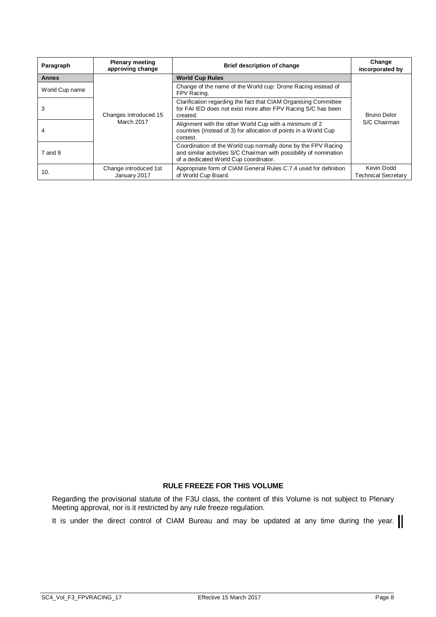| Paragraph      | <b>Plenary meeting</b><br>approving change | <b>Brief description of change</b>                                                                                                                                           | Change<br>incorporated by                |  |  |  |  |
|----------------|--------------------------------------------|------------------------------------------------------------------------------------------------------------------------------------------------------------------------------|------------------------------------------|--|--|--|--|
| <b>Annex</b>   |                                            | <b>World Cup Rules</b>                                                                                                                                                       |                                          |  |  |  |  |
| World Cup name | Changes introduced 15                      | Change of the name of the World cup: Drone Racing instead of<br>FPV Racing.                                                                                                  |                                          |  |  |  |  |
| 3              |                                            | Clarification regarding the fact that CIAM Organising Committee<br>for FAI IED does not exist more after FPV Racing S/C has been<br>created.                                 | Bruno Delor                              |  |  |  |  |
|                | <b>March 2017</b>                          | Alignment with the other World Cup with a minimum of 2<br>countries (instead of 3) for allocation of points in a World Cup<br>contest.                                       | S/C Chairman                             |  |  |  |  |
| $7$ and $8$    |                                            | Coordination of the World cup normally done by the FPV Racing<br>and similar activities S/C Chairman with possibility of nomination<br>of a dedicated World Cup coordinator. |                                          |  |  |  |  |
| 10.            | Change introduced 1st<br>January 2017      | Appropriate form of CIAM General Rules C.7.4 used for definition<br>of World Cup Board.                                                                                      | Kevin Dodd<br><b>Technical Secretary</b> |  |  |  |  |

#### **RULE FREEZE FOR THIS VOLUME**

Regarding the provisional statute of the F3U class, the content of this Volume is not subject to Plenary Meeting approval, nor is it restricted by any rule freeze regulation.

It is under the direct control of CIAM Bureau and may be updated at any time during the year.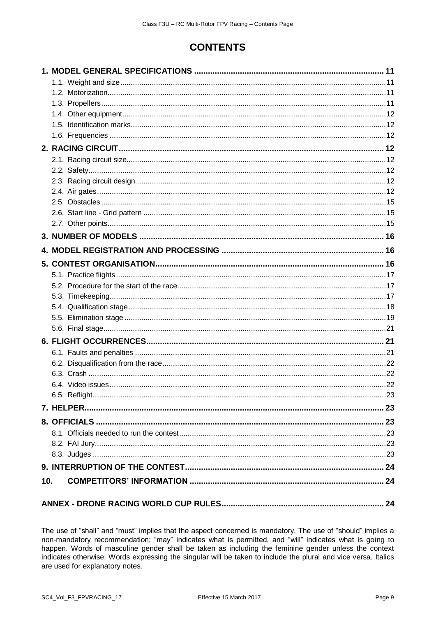### **CONTENTS**

| 10. |  |
|-----|--|
|     |  |
|     |  |

The use of "shall" and "must" implies that the aspect concerned is mandatory. The use of "should" implies a non-mandatory recommendation; "may" indicates what is permitted, and "will" indicates what is going to happen. Words of masculine gender shall be taken as including the feminine gender unless the context indicates otherwise. Words expressing the singular will be taken to include the plural and vice versa. Italics are used for explanatory notes.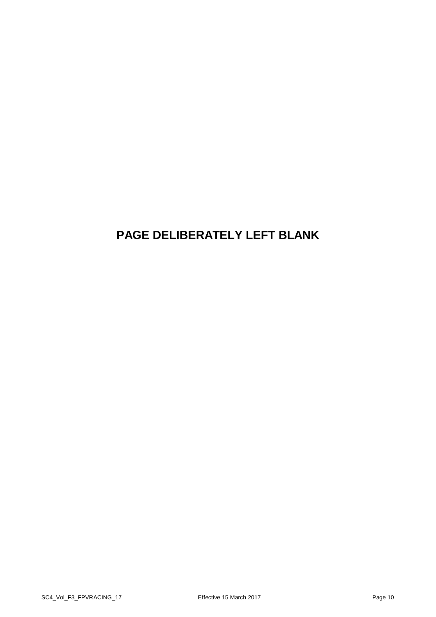## **PAGE DELIBERATELY LEFT BLANK**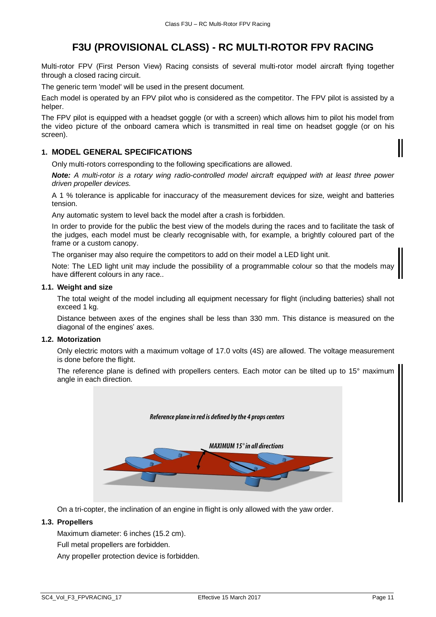### **F3U (PROVISIONAL CLASS) - RC MULTI-ROTOR FPV RACING**

Multi-rotor FPV (First Person View) Racing consists of several multi-rotor model aircraft flying together through a closed racing circuit.

The generic term 'model' will be used in the present document.

Each model is operated by an FPV pilot who is considered as the competitor. The FPV pilot is assisted by a helper.

The FPV pilot is equipped with a headset goggle (or with a screen) which allows him to pilot his model from the video picture of the onboard camera which is transmitted in real time on headset goggle (or on his screen).

#### <span id="page-10-0"></span>**1. MODEL GENERAL SPECIFICATIONS**

Only multi-rotors corresponding to the following specifications are allowed.

*Note: A multi-rotor is a rotary wing radio-controlled model aircraft equipped with at least three power driven propeller devices.*

A 1 % tolerance is applicable for inaccuracy of the measurement devices for size, weight and batteries tension.

Any automatic system to level back the model after a crash is forbidden.

In order to provide for the public the best view of the models during the races and to facilitate the task of the judges, each model must be clearly recognisable with, for example, a brightly coloured part of the frame or a custom canopy.

The organiser may also require the competitors to add on their model a LED light unit.

Note: The LED light unit may include the possibility of a programmable colour so that the models may have different colours in any race..

#### <span id="page-10-1"></span>**1.1. Weight and size**

The total weight of the model including all equipment necessary for flight (including batteries) shall not exceed 1 kg.

Distance between axes of the engines shall be less than 330 mm. This distance is measured on the diagonal of the engines' axes.

#### <span id="page-10-2"></span>**1.2. Motorization**

Only electric motors with a maximum voltage of 17.0 volts (4S) are allowed. The voltage measurement is done before the flight.

The reference plane is defined with propellers centers. Each motor can be tilted up to 15° maximum angle in each direction.



On a tri-copter, the inclination of an engine in flight is only allowed with the yaw order.

#### <span id="page-10-3"></span>**1.3. Propellers**

Maximum diameter: 6 inches (15.2 cm).

Full metal propellers are forbidden.

Any propeller protection device is forbidden.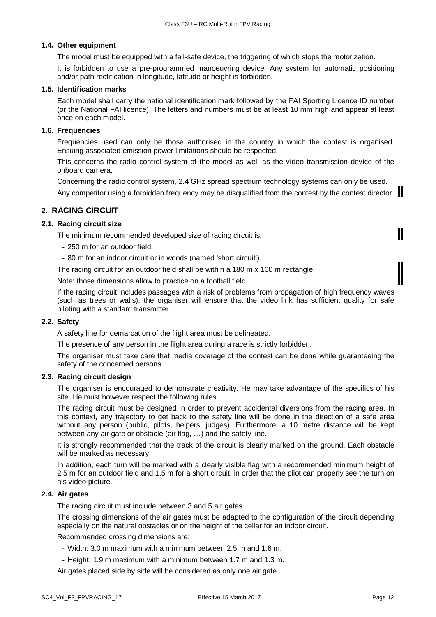#### <span id="page-11-0"></span>**1.4. Other equipment**

The model must be equipped with a fail-safe device, the triggering of which stops the motorization.

It is forbidden to use a pre-programmed manoeuvring device. Any system for automatic positioning and/or path rectification in longitude, latitude or height is forbidden.

#### <span id="page-11-1"></span>**1.5. Identification marks**

Each model shall carry the national identification mark followed by the FAI Sporting Licence ID number (or the National FAI licence). The letters and numbers must be at least 10 mm high and appear at least once on each model.

#### <span id="page-11-2"></span>**1.6. Frequencies**

Frequencies used can only be those authorised in the country in which the contest is organised. Ensuing associated emission power limitations should be respected.

This concerns the radio control system of the model as well as the video transmission device of the onboard camera.

Concerning the radio control system, 2.4 GHz spread spectrum technology systems can only be used.

Any competitor using a forbidden frequency may be disqualified from the contest by the contest director.

#### <span id="page-11-3"></span>**2. RACING CIRCUIT**

#### <span id="page-11-4"></span>**2.1. Racing circuit size**

The minimum recommended developed size of racing circuit is:

- 250 m for an outdoor field.
- 80 m for an indoor circuit or in woods (named 'short circuit').

The racing circuit for an outdoor field shall be within a 180 m x 100 m rectangle.

Note: those dimensions allow to practice on a football field.

If the racing circuit includes passages with a risk of problems from propagation of high frequency waves (such as trees or walls), the organiser will ensure that the video link has sufficient quality for safe piloting with a standard transmitter.

#### <span id="page-11-5"></span>**2.2. Safety**

A safety line for demarcation of the flight area must be delineated.

The presence of any person in the flight area during a race is strictly forbidden.

The organiser must take care that media coverage of the contest can be done while guaranteeing the safety of the concerned persons.

#### <span id="page-11-6"></span>**2.3. Racing circuit design**

The organiser is encouraged to demonstrate creativity. He may take advantage of the specifics of his site. He must however respect the following rules.

The racing circuit must be designed in order to prevent accidental diversions from the racing area. In this context, any trajectory to get back to the safety line will be done in the direction of a safe area without any person (public, pilots, helpers, judges). Furthermore, a 10 metre distance will be kept between any air gate or obstacle (air flag, …) and the safety line.

It is strongly recommended that the track of the circuit is clearly marked on the ground. Each obstacle will be marked as necessary.

In addition, each turn will be marked with a clearly visible flag with a recommended minimum height of 2.5 m for an outdoor field and 1.5 m for a short circuit, in order that the pilot can properly see the turn on his video picture.

#### <span id="page-11-7"></span>**2.4. Air gates**

The racing circuit must include between 3 and 5 air gates.

The crossing dimensions of the air gates must be adapted to the configuration of the circuit depending especially on the natural obstacles or on the height of the cellar for an indoor circuit.

Recommended crossing dimensions are:

- Width: 3.0 m maximum with a minimum between 2.5 m and 1.6 m.
- Height: 1.9 m maximum with a minimum between 1.7 m and 1.3 m.

Air gates placed side by side will be considered as only one air gate.

Ш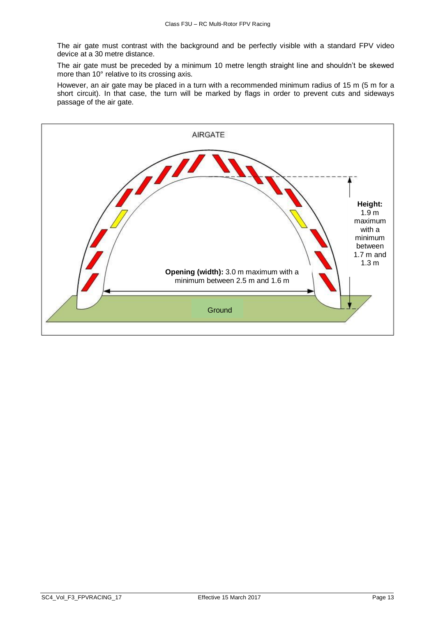The air gate must contrast with the background and be perfectly visible with a standard FPV video device at a 30 metre distance.

The air gate must be preceded by a minimum 10 metre length straight line and shouldn't be skewed more than 10° relative to its crossing axis.

However, an air gate may be placed in a turn with a recommended minimum radius of 15 m (5 m for a short circuit). In that case, the turn will be marked by flags in order to prevent cuts and sideways passage of the air gate.

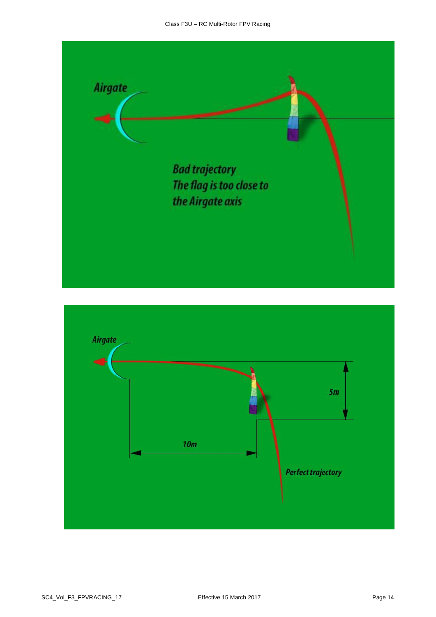

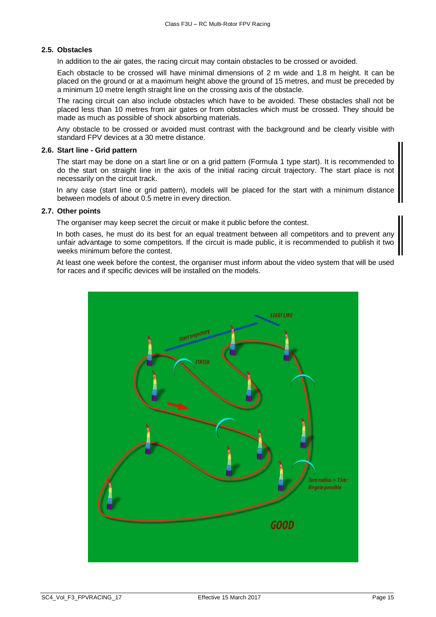#### <span id="page-14-0"></span>**2.5. Obstacles**

In addition to the air gates, the racing circuit may contain obstacles to be crossed or avoided.

Each obstacle to be crossed will have minimal dimensions of 2 m wide and 1.8 m height. It can be placed on the ground or at a maximum height above the ground of 15 metres, and must be preceded by a minimum 10 metre length straight line on the crossing axis of the obstacle.

The racing circuit can also include obstacles which have to be avoided. These obstacles shall not be placed less than 10 metres from air gates or from obstacles which must be crossed. They should be made as much as possible of shock absorbing materials.

Any obstacle to be crossed or avoided must contrast with the background and be clearly visible with standard FPV devices at a 30 metre distance.

#### <span id="page-14-1"></span>**2.6. Start line - Grid pattern**

The start may be done on a start line or on a grid pattern (Formula 1 type start). It is recommended to do the start on straight line in the axis of the initial racing circuit trajectory. The start place is not necessarily on the circuit track.

In any case (start line or grid pattern), models will be placed for the start with a minimum distance between models of about 0.5 metre in every direction.

#### <span id="page-14-2"></span>**2.7. Other points**

The organiser may keep secret the circuit or make it public before the contest.

In both cases, he must do its best for an equal treatment between all competitors and to prevent any unfair advantage to some competitors. If the circuit is made public, it is recommended to publish it two weeks minimum before the contest.

At least one week before the contest, the organiser must inform about the video system that will be used for races and if specific devices will be installed on the models.

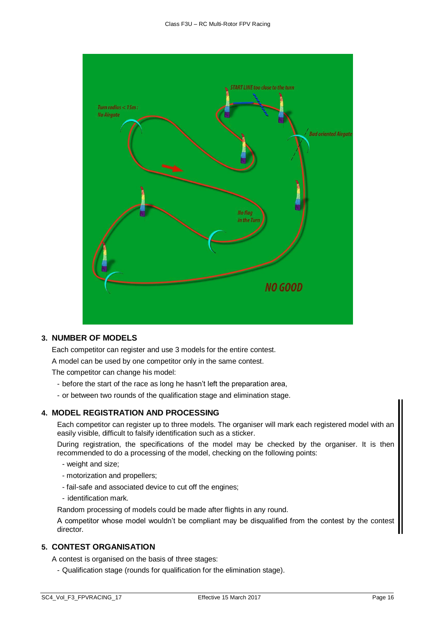

#### <span id="page-15-0"></span>**3. NUMBER OF MODELS**

Each competitor can register and use 3 models for the entire contest.

A model can be used by one competitor only in the same contest.

The competitor can change his model:

- before the start of the race as long he hasn't left the preparation area,
- or between two rounds of the qualification stage and elimination stage.

#### <span id="page-15-1"></span>**4. MODEL REGISTRATION AND PROCESSING**

Each competitor can register up to three models. The organiser will mark each registered model with an easily visible, difficult to falsify identification such as a sticker.

During registration, the specifications of the model may be checked by the organiser. It is then recommended to do a processing of the model, checking on the following points:

- weight and size;
- motorization and propellers;
- fail-safe and associated device to cut off the engines;
- identification mark.

Random processing of models could be made after flights in any round.

A competitor whose model wouldn't be compliant may be disqualified from the contest by the contest director.

#### <span id="page-15-2"></span>**5. CONTEST ORGANISATION**

A contest is organised on the basis of three stages:

- Qualification stage (rounds for qualification for the elimination stage).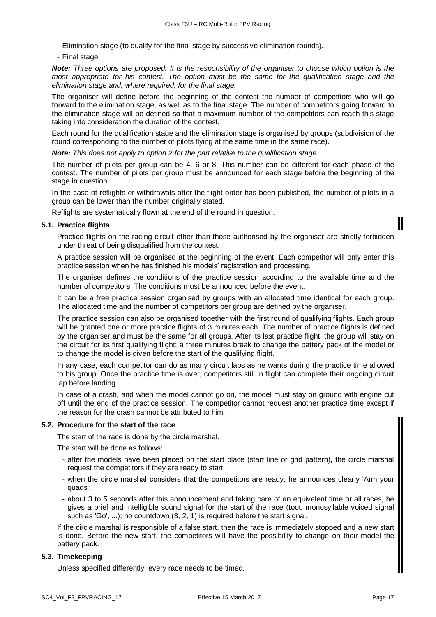- Elimination stage (to qualify for the final stage by successive elimination rounds).
- Final stage.

*Note: Three options are proposed. It is the responsibility of the organiser to choose which option is the most appropriate for his contest. The option must be the same for the qualification stage and the elimination stage and, where required, for the final stage.*

The organiser will define before the beginning of the contest the number of competitors who will go forward to the elimination stage, as well as to the final stage. The number of competitors going forward to the elimination stage will be defined so that a maximum number of the competitors can reach this stage taking into consideration the duration of the contest.

Each round for the qualification stage and the elimination stage is organised by groups (subdivision of the round corresponding to the number of pilots flying at the same time in the same race).

*Note: This does not apply to option 2 for the part relative to the qualification stage.*

The number of pilots per group can be 4, 6 or 8. This number can be different for each phase of the contest. The number of pilots per group must be announced for each stage before the beginning of the stage in question.

In the case of reflights or withdrawals after the flight order has been published, the number of pilots in a group can be lower than the number originally stated.

Reflights are systematically flown at the end of the round in question.

#### <span id="page-16-0"></span>**5.1. Practice flights**

Practice flights on the racing circuit other than those authorised by the organiser are strictly forbidden under threat of being disqualified from the contest.

A practice session will be organised at the beginning of the event. Each competitor will only enter this practice session when he has finished his models' registration and processing.

The organiser defines the conditions of the practice session according to the available time and the number of competitors. The conditions must be announced before the event.

It can be a free practice session organised by groups with an allocated time identical for each group. The allocated time and the number of competitors per group are defined by the organiser.

The practice session can also be organised together with the first round of qualifying flights. Each group will be granted one or more practice flights of 3 minutes each. The number of practice flights is defined by the organiser and must be the same for all groups. After its last practice flight, the group will stay on the circuit for its first qualifying flight; a three minutes break to change the battery pack of the model or to change the model is given before the start of the qualifying flight.

In any case, each competitor can do as many circuit laps as he wants during the practice time allowed to his group. Once the practice time is over, competitors still in flight can complete their ongoing circuit lap before landing.

In case of a crash, and when the model cannot go on, the model must stay on ground with engine cut off until the end of the practice session. The competitor cannot request another practice time except if the reason for the crash cannot be attributed to him.

#### <span id="page-16-1"></span>**5.2. Procedure for the start of the race**

The start of the race is done by the circle marshal.

The start will be done as follows:

- after the models have been placed on the start place (start line or grid pattern), the circle marshal request the competitors if they are ready to start;
- when the circle marshal considers that the competitors are ready, he announces clearly 'Arm your quads';
- about 3 to 5 seconds after this announcement and taking care of an equivalent time or all races, he gives a brief and intelligible sound signal for the start of the race (toot, monosyllable voiced signal such as 'Go', ...); no countdown (3, 2, 1) is required before the start signal.

If the circle marshal is responsible of a false start, then the race is immediately stopped and a new start is done. Before the new start, the competitors will have the possibility to change on their model the battery pack.

#### <span id="page-16-2"></span>**5.3. Timekeeping**

Unless specified differently, every race needs to be timed.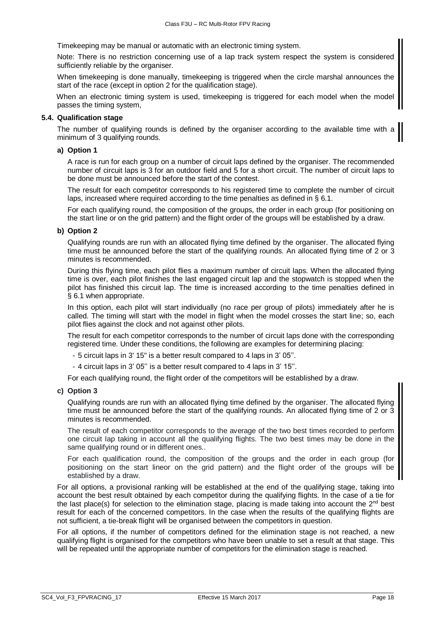Timekeeping may be manual or automatic with an electronic timing system.

Note: There is no restriction concerning use of a lap track system respect the system is considered sufficiently reliable by the organiser.

When timekeeping is done manually, timekeeping is triggered when the circle marshal announces the start of the race (except in option 2 for the qualification stage).

When an electronic timing system is used, timekeeping is triggered for each model when the model passes the timing system,

#### <span id="page-17-0"></span>**5.4. Qualification stage**

The number of qualifying rounds is defined by the organiser according to the available time with a minimum of 3 qualifying rounds.

#### **a) Option 1**

A race is run for each group on a number of circuit laps defined by the organiser. The recommended number of circuit laps is 3 for an outdoor field and 5 for a short circuit. The number of circuit laps to be done must be announced before the start of the contest.

The result for each competitor corresponds to his registered time to complete the number of circuit laps, increased where required according to the time penalties as defined in § [6.1.](#page-20-2)

For each qualifying round, the composition of the groups, the order in each group (for positioning on the start line or on the grid pattern) and the flight order of the groups will be established by a draw.

#### **b) Option 2**

Qualifying rounds are run with an allocated flying time defined by the organiser. The allocated flying time must be announced before the start of the qualifying rounds. An allocated flying time of 2 or 3 minutes is recommended.

During this flying time, each pilot flies a maximum number of circuit laps. When the allocated flying time is over, each pilot finishes the last engaged circuit lap and the stopwatch is stopped when the pilot has finished this circuit lap. The time is increased according to the time penalties defined in § [6.1](#page-20-2) when appropriate.

In this option, each pilot will start individually (no race per group of pilots) immediately after he is called. The timing will start with the model in flight when the model crosses the start line; so, each pilot flies against the clock and not against other pilots.

The result for each competitor corresponds to the number of circuit laps done with the corresponding registered time. Under these conditions, the following are examples for determining placing:

- 5 circuit laps in 3' 15" is a better result compared to 4 laps in 3' 05''.

- 4 circuit laps in 3' 05'' is a better result compared to 4 laps in 3' 15''.

For each qualifying round, the flight order of the competitors will be established by a draw.

#### **c) Option 3**

Qualifying rounds are run with an allocated flying time defined by the organiser. The allocated flying time must be announced before the start of the qualifying rounds. An allocated flying time of 2 or 3 minutes is recommended.

The result of each competitor corresponds to the average of the two best times recorded to perform one circuit lap taking in account all the qualifying flights. The two best times may be done in the same qualifying round or in different ones..

For each qualification round, the composition of the groups and the order in each group (for positioning on the start lineor on the grid pattern) and the flight order of the groups will be established by a draw.

For all options, a provisional ranking will be established at the end of the qualifying stage, taking into account the best result obtained by each competitor during the qualifying flights. In the case of a tie for the last place(s) for selection to the elimination stage, placing is made taking into account the  $2<sup>nd</sup>$  best result for each of the concerned competitors. In the case when the results of the qualifying flights are not sufficient, a tie-break flight will be organised between the competitors in question.

For all options, if the number of competitors defined for the elimination stage is not reached, a new qualifying flight is organised for the competitors who have been unable to set a result at that stage. This will be repeated until the appropriate number of competitors for the elimination stage is reached.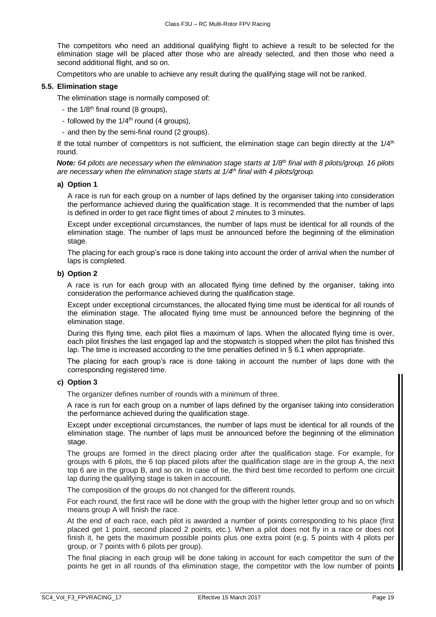The competitors who need an additional qualifying flight to achieve a result to be selected for the elimination stage will be placed after those who are already selected, and then those who need a second additional flight, and so on.

Competitors who are unable to achieve any result during the qualifying stage will not be ranked.

#### <span id="page-18-0"></span>**5.5. Elimination stage**

The elimination stage is normally composed of:

- the  $1/8^{th}$  final round (8 groups),
- followed by the  $1/4^{\text{th}}$  round (4 groups),
- and then by the semi-final round (2 groups).

If the total number of competitors is not sufficient, the elimination stage can begin directly at the  $1/4<sup>th</sup>$ round.

*Note: 64 pilots are necessary when the elimination stage starts at 1/8th final with 8 pilots/group. 16 pilots are necessary when the elimination stage starts at 1/4th final with 4 pilots/group.*

#### **a) Option 1**

A race is run for each group on a number of laps defined by the organiser taking into consideration the performance achieved during the qualification stage. It is recommended that the number of laps is defined in order to get race flight times of about 2 minutes to 3 minutes.

Except under exceptional circumstances, the number of laps must be identical for all rounds of the elimination stage. The number of laps must be announced before the beginning of the elimination stage.

The placing for each group's race is done taking into account the order of arrival when the number of laps is completed.

#### **b) Option 2**

A race is run for each group with an allocated flying time defined by the organiser, taking into consideration the performance achieved during the qualification stage.

Except under exceptional circumstances, the allocated flying time must be identical for all rounds of the elimination stage. The allocated flying time must be announced before the beginning of the elimination stage.

During this flying time, each pilot flies a maximum of laps. When the allocated flying time is over, each pilot finishes the last engaged lap and the stopwatch is stopped when the pilot has finished this lap. The time is increased according to the time penalties defined in § [6.1](#page-20-2) when appropriate.

The placing for each group's race is done taking in account the number of laps done with the corresponding registered time.

#### **c) Option 3**

The organizer defines number of rounds with a minimum of three.

A race is run for each group on a number of laps defined by the organiser taking into consideration the performance achieved during the qualification stage.

Except under exceptional circumstances, the number of laps must be identical for all rounds of the elimination stage. The number of laps must be announced before the beginning of the elimination stage.

The groups are formed in the direct placing order after the qualification stage. For example, for groups with 6 pilots, the 6 top placed pilots after the qualification stage are in the group A, the next top 6 are in the group B, and so on. In case of tie, the third best time recorded to perform one circuit lap during the qualifying stage is taken in accountt.

The composition of the groups do not changed for the different rounds.

For each round, the first race will be done with the group with the higher letter group and so on which means group A will finish the race.

At the end of each race, each pilot is awarded a number of points corresponding to his place (first placed get 1 point, second placed 2 points, etc.). When a pilot does not fly in a race or does not finish it, he gets the maximum possible points plus one extra point (e.g. 5 points with 4 pilots per group, or 7 points with 6 pilots per group).

The final placing in each group will be done taking in account for each competitor the sum of the points he get in all rounds of tha elimination stage, the competitor with the low number of points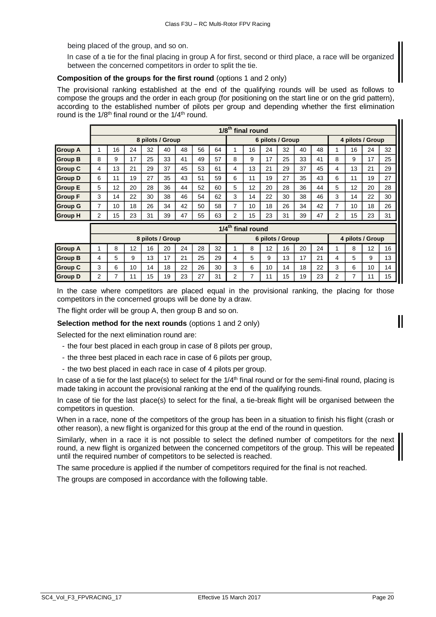being placed of the group, and so on.

In case of a tie for the final placing in group A for first, second or third place, a race will be organized between the concerned competitors in order to split the tie.

#### **Composition of the groups for the first round** (options 1 and 2 only)

The provisional ranking established at the end of the qualifying rounds will be used as follows to compose the groups and the order in each group (for positioning on the start line or on the grid pattern), according to the established number of pilots per group and depending whether the first elimination round is the  $1/8^{th}$  final round or the  $1/4^{th}$  round.

|                |                                             | 1/8 <sup>th</sup> final round |    |    |    |    |    |    |                  |    |    |    |    |    |    |                  |    |    |  |
|----------------|---------------------------------------------|-------------------------------|----|----|----|----|----|----|------------------|----|----|----|----|----|----|------------------|----|----|--|
|                | 8 pilots / Group                            |                               |    |    |    |    |    |    | 6 pilots / Group |    |    |    |    |    |    | 4 pilots / Group |    |    |  |
| <b>Group A</b> | 56<br>32<br>48<br>16<br>24<br>64<br>40      |                               |    |    |    |    |    | 16 | 24               | 32 | 40 | 48 |    | 16 | 24 | 32               |    |    |  |
| <b>Group B</b> | 8                                           | 9                             | 17 | 25 | 33 | 41 | 49 | 57 | 8                | 9  | 17 | 25 | 33 | 41 | 8  | 9                | 17 | 25 |  |
| <b>Group C</b> | 4                                           | 13                            | 21 | 29 | 37 | 45 | 53 | 61 | 4                | 13 | 21 | 29 | 37 | 45 | 4  | 13               | 21 | 29 |  |
| <b>Group D</b> | 6                                           | 11                            | 19 | 27 | 35 | 43 | 51 | 59 | 6                | 11 | 19 | 27 | 35 | 43 | 6  | 11               | 19 | 27 |  |
| <b>Group E</b> | 5                                           | 12                            | 20 | 28 | 36 | 44 | 52 | 60 | 5                | 12 | 20 | 28 | 36 | 44 | 5  | 12               | 20 | 28 |  |
| <b>Group F</b> | 3                                           | 14                            | 22 | 30 | 38 | 46 | 54 | 62 | 3                | 14 | 22 | 30 | 38 | 46 | 3  | 14               | 22 | 30 |  |
| <b>Group G</b> |                                             | 10                            | 18 | 26 | 34 | 42 | 50 | 58 |                  | 10 | 18 | 26 | 34 | 42 |    | 10               | 18 | 26 |  |
| <b>Group H</b> | 47<br>55<br>31<br>39<br>63<br>15<br>23<br>2 |                               |    |    |    |    |    | ົ  | 15               | 23 | 31 | 39 | 47 | 2  | 15 | 23               | 31 |    |  |
|                |                                             |                               |    |    |    |    |    |    | $\mathbf{h}$     |    |    |    |    |    |    |                  |    |    |  |

|                |                        | $1/4th$ final round |    |    |    |    |    |    |        |                                      |         |    |    |    |   |  |           |    |
|----------------|------------------------|---------------------|----|----|----|----|----|----|--------|--------------------------------------|---------|----|----|----|---|--|-----------|----|
|                | 8 pilots / Group       |                     |    |    |    |    |    |    |        | 6 pilots / Group<br>4 pilots / Group |         |    |    |    |   |  |           |    |
| <b>Group A</b> |                        |                     | 12 | 16 | 20 | 24 | 28 | 32 |        | 8                                    | 12<br>╺ | 16 | 20 | 24 |   |  | 12<br>ے ا | 16 |
| <b>Group B</b> |                        |                     |    | 13 | 17 | 21 | 25 | 29 |        |                                      | 9       | 13 | 17 | 21 |   |  |           | 13 |
| <b>Group C</b> | $\mathbf{\Omega}$<br>J |                     | 10 | 14 | 18 | 22 | 26 | 30 | $\sim$ | 6                                    | 10      | 14 | 18 | 22 | ົ |  | 10        | 14 |
| <b>Group D</b> | ົ                      |                     |    | 15 | 19 | 23 | 27 | 31 |        |                                      | 44      | 15 | 19 | 23 | ⌒ |  |           | 15 |

In the case where competitors are placed equal in the provisional ranking, the placing for those competitors in the concerned groups will be done by a draw.

The flight order will be group A, then group B and so on.

**Selection method for the next rounds** (options 1 and 2 only)

Selected for the next elimination round are:

- the four best placed in each group in case of 8 pilots per group,
- the three best placed in each race in case of 6 pilots per group,
- the two best placed in each race in case of 4 pilots per group.

In case of a tie for the last place(s) to select for the  $1/4<sup>th</sup>$  final round or for the semi-final round, placing is made taking in account the provisional ranking at the end of the qualifying rounds.

In case of tie for the last place(s) to select for the final, a tie-break flight will be organised between the competitors in question.

When in a race, none of the competitors of the group has been in a situation to finish his flight (crash or other reason), a new flight is organized for this group at the end of the round in question.

Similarly, when in a race it is not possible to select the defined number of competitors for the next round, a new flight is organized between the concerned competitors of the group. This will be repeated until the required number of competitors to be selected is reached.

The same procedure is applied if the number of competitors required for the final is not reached.

The groups are composed in accordance with the following table.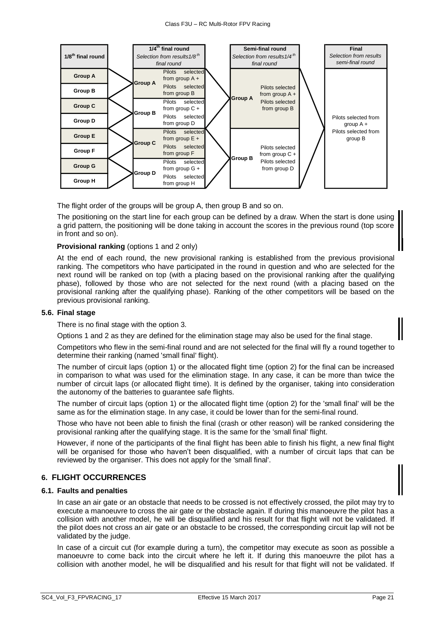

The flight order of the groups will be group A, then group B and so on.

The positioning on the start line for each group can be defined by a draw*.* When the start is done using a grid pattern, the positioning will be done taking in account the scores in the previous round (top score in front and so on).

#### **Provisional ranking** (options 1 and 2 only)

At the end of each round, the new provisional ranking is established from the previous provisional ranking. The competitors who have participated in the round in question and who are selected for the next round will be ranked on top (with a placing based on the provisional ranking after the qualifying phase), followed by those who are not selected for the next round (with a placing based on the provisional ranking after the qualifying phase). Ranking of the other competitors will be based on the previous provisional ranking.

#### <span id="page-20-0"></span>**5.6. Final stage**

There is no final stage with the option 3.

Options 1 and 2 as they are defined for the elimination stage may also be used for the final stage.

Competitors who flew in the semi-final round and are not selected for the final will fly a round together to determine their ranking (named 'small final' flight).

The number of circuit laps (option 1) or the allocated flight time (option 2) for the final can be increased in comparison to what was used for the elimination stage. In any case, it can be more than twice the number of circuit laps (or allocated flight time). It is defined by the organiser, taking into consideration the autonomy of the batteries to guarantee safe flights.

The number of circuit laps (option 1) or the allocated flight time (option 2) for the 'small final' will be the same as for the elimination stage. In any case, it could be lower than for the semi-final round.

Those who have not been able to finish the final (crash or other reason) will be ranked considering the provisional ranking after the qualifying stage. It is the same for the 'small final' flight.

However, if none of the participants of the final flight has been able to finish his flight, a new final flight will be organised for those who haven't been disqualified, with a number of circuit laps that can be reviewed by the organiser. This does not apply for the 'small final'.

#### <span id="page-20-1"></span>**6. FLIGHT OCCURRENCES**

#### <span id="page-20-2"></span>**6.1. Faults and penalties**

In case an air gate or an obstacle that needs to be crossed is not effectively crossed, the pilot may try to execute a manoeuvre to cross the air gate or the obstacle again. If during this manoeuvre the pilot has a collision with another model, he will be disqualified and his result for that flight will not be validated. If the pilot does not cross an air gate or an obstacle to be crossed, the corresponding circuit lap will not be validated by the judge.

In case of a circuit cut (for example during a turn), the competitor may execute as soon as possible a manoeuvre to come back into the circuit where he left it. If during this manoeuvre the pilot has a collision with another model, he will be disqualified and his result for that flight will not be validated. If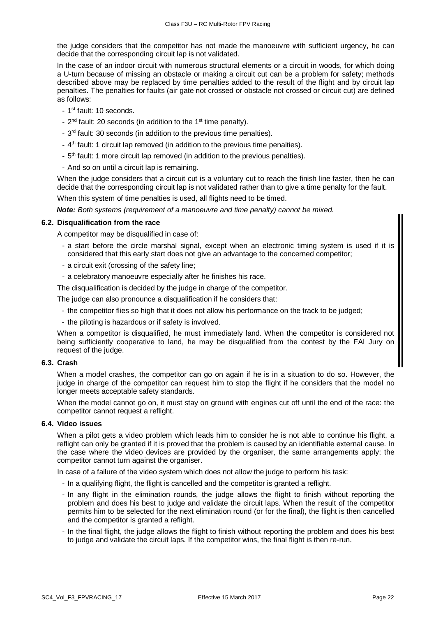the judge considers that the competitor has not made the manoeuvre with sufficient urgency, he can decide that the corresponding circuit lap is not validated.

In the case of an indoor circuit with numerous structural elements or a circuit in woods, for which doing a U-turn because of missing an obstacle or making a circuit cut can be a problem for safety; methods described above may be replaced by time penalties added to the result of the flight and by circuit lap penalties. The penalties for faults (air gate not crossed or obstacle not crossed or circuit cut) are defined as follows:

- 1<sup>st</sup> fault: 10 seconds.
- 2<sup>nd</sup> fault: 20 seconds (in addition to the 1<sup>st</sup> time penalty).
- 3<sup>rd</sup> fault: 30 seconds (in addition to the previous time penalties).
- 4<sup>th</sup> fault: 1 circuit lap removed (in addition to the previous time penalties).
- 5<sup>th</sup> fault: 1 more circuit lap removed (in addition to the previous penalties).
- And so on until a circuit lap is remaining.

When the judge considers that a circuit cut is a voluntary cut to reach the finish line faster, then he can decide that the corresponding circuit lap is not validated rather than to give a time penalty for the fault.

When this system of time penalties is used, all flights need to be timed.

*Note: Both systems (requirement of a manoeuvre and time penalty) cannot be mixed.* 

#### <span id="page-21-0"></span>**6.2. Disqualification from the race**

A competitor may be disqualified in case of:

- a start before the circle marshal signal, except when an electronic timing system is used if it is considered that this early start does not give an advantage to the concerned competitor;
- a circuit exit (crossing of the safety line;
- a celebratory manoeuvre especially after he finishes his race.

The disqualification is decided by the judge in charge of the competitor.

The judge can also pronounce a disqualification if he considers that:

- the competitor flies so high that it does not allow his performance on the track to be judged;
- the piloting is hazardous or if safety is involved.

When a competitor is disqualified, he must immediately land. When the competitor is considered not being sufficiently cooperative to land, he may be disqualified from the contest by the FAI Jury on request of the judge.

#### <span id="page-21-1"></span>**6.3. Crash**

When a model crashes, the competitor can go on again if he is in a situation to do so. However, the judge in charge of the competitor can request him to stop the flight if he considers that the model no longer meets acceptable safety standards.

When the model cannot go on, it must stay on ground with engines cut off until the end of the race: the competitor cannot request a reflight.

#### <span id="page-21-2"></span>**6.4. Video issues**

When a pilot gets a video problem which leads him to consider he is not able to continue his flight, a reflight can only be granted if it is proved that the problem is caused by an identifiable external cause. In the case where the video devices are provided by the organiser, the same arrangements apply; the competitor cannot turn against the organiser.

In case of a failure of the video system which does not allow the judge to perform his task:

- In a qualifying flight, the flight is cancelled and the competitor is granted a reflight.
- In any flight in the elimination rounds, the judge allows the flight to finish without reporting the problem and does his best to judge and validate the circuit laps. When the result of the competitor permits him to be selected for the next elimination round (or for the final), the flight is then cancelled and the competitor is granted a reflight.
- In the final flight, the judge allows the flight to finish without reporting the problem and does his best to judge and validate the circuit laps. If the competitor wins, the final flight is then re-run.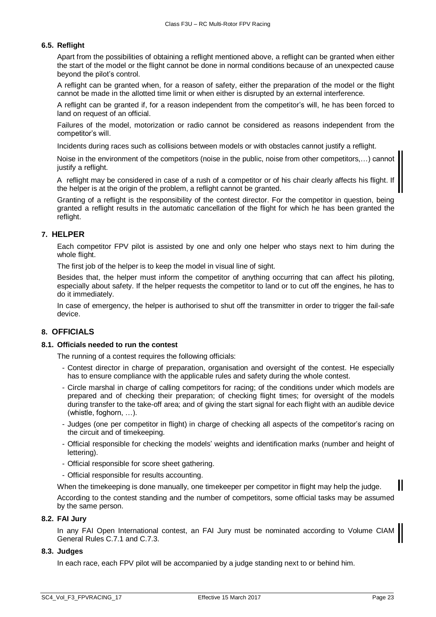#### <span id="page-22-0"></span>**6.5. Reflight**

Apart from the possibilities of obtaining a reflight mentioned above, a reflight can be granted when either the start of the model or the flight cannot be done in normal conditions because of an unexpected cause beyond the pilot's control.

A reflight can be granted when, for a reason of safety, either the preparation of the model or the flight cannot be made in the allotted time limit or when either is disrupted by an external interference.

A reflight can be granted if, for a reason independent from the competitor's will, he has been forced to land on request of an official.

Failures of the model, motorization or radio cannot be considered as reasons independent from the competitor's will.

Incidents during races such as collisions between models or with obstacles cannot justify a reflight.

Noise in the environment of the competitors (noise in the public, noise from other competitors,…) cannot justify a reflight.

A reflight may be considered in case of a rush of a competitor or of his chair clearly affects his flight. If the helper is at the origin of the problem, a reflight cannot be granted.

Granting of a reflight is the responsibility of the contest director. For the competitor in question, being granted a reflight results in the automatic cancellation of the flight for which he has been granted the reflight.

#### <span id="page-22-1"></span>**7. HELPER**

Each competitor FPV pilot is assisted by one and only one helper who stays next to him during the whole flight.

The first job of the helper is to keep the model in visual line of sight.

Besides that, the helper must inform the competitor of anything occurring that can affect his piloting, especially about safety. If the helper requests the competitor to land or to cut off the engines, he has to do it immediately.

In case of emergency, the helper is authorised to shut off the transmitter in order to trigger the fail-safe device.

#### <span id="page-22-2"></span>**8. OFFICIALS**

#### <span id="page-22-3"></span>**8.1. Officials needed to run the contest**

The running of a contest requires the following officials:

- Contest director in charge of preparation, organisation and oversight of the contest. He especially has to ensure compliance with the applicable rules and safety during the whole contest.
- Circle marshal in charge of calling competitors for racing; of the conditions under which models are prepared and of checking their preparation; of checking flight times; for oversight of the models during transfer to the take-off area; and of giving the start signal for each flight with an audible device (whistle, foghorn, …).
- Judges (one per competitor in flight) in charge of checking all aspects of the competitor's racing on the circuit and of timekeeping.
- Official responsible for checking the models' weights and identification marks (number and height of lettering).
- Official responsible for score sheet gathering.
- Official responsible for results accounting.

When the timekeeping is done manually, one timekeeper per competitor in flight may help the judge. According to the contest standing and the number of competitors, some official tasks may be assumed

by the same person.

#### <span id="page-22-4"></span>**8.2. FAI Jury**

In any FAI Open International contest, an FAI Jury must be nominated according to Volume CIAM General Rules C.7.1 and C.7.3.

#### <span id="page-22-5"></span>**8.3. Judges**

In each race, each FPV pilot will be accompanied by a judge standing next to or behind him.

Ш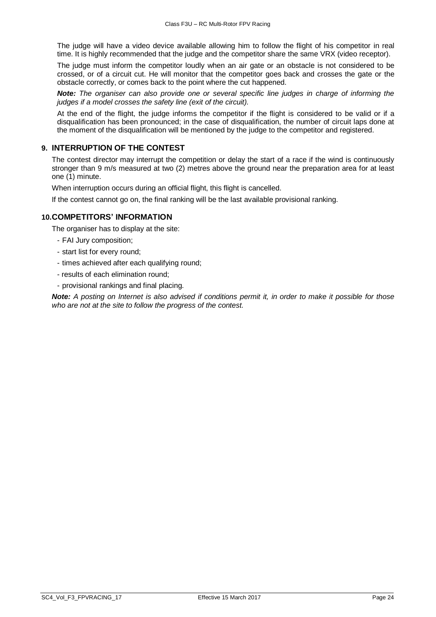The judge will have a video device available allowing him to follow the flight of his competitor in real time. It is highly recommended that the judge and the competitor share the same VRX (video receptor).

The judge must inform the competitor loudly when an air gate or an obstacle is not considered to be crossed, or of a circuit cut. He will monitor that the competitor goes back and crosses the gate or the obstacle correctly, or comes back to the point where the cut happened.

*Note: The organiser can also provide one or several specific line judges in charge of informing the judges if a model crosses the safety line (exit of the circuit).*

At the end of the flight, the judge informs the competitor if the flight is considered to be valid or if a disqualification has been pronounced; in the case of disqualification, the number of circuit laps done at the moment of the disqualification will be mentioned by the judge to the competitor and registered.

#### <span id="page-23-0"></span>**9. INTERRUPTION OF THE CONTEST**

The contest director may interrupt the competition or delay the start of a race if the wind is continuously stronger than 9 m/s measured at two (2) metres above the ground near the preparation area for at least one (1) minute.

When interruption occurs during an official flight, this flight is cancelled.

If the contest cannot go on, the final ranking will be the last available provisional ranking.

#### <span id="page-23-1"></span>**10.COMPETITORS' INFORMATION**

The organiser has to display at the site:

- FAI Jury composition;
- start list for every round;
- times achieved after each qualifying round;
- results of each elimination round;
- provisional rankings and final placing.

*Note: A posting on Internet is also advised if conditions permit it, in order to make it possible for those who are not at the site to follow the progress of the contest.*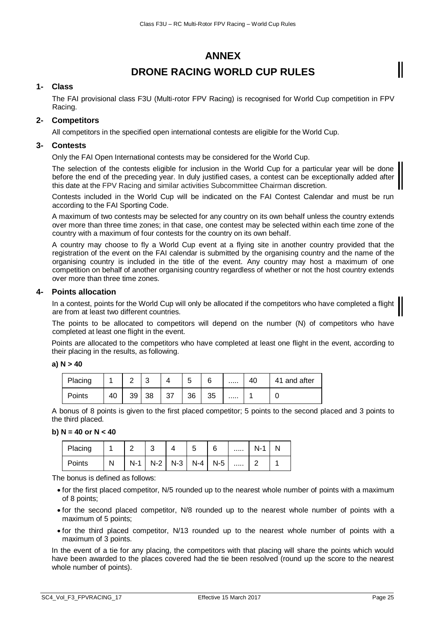## **ANNEX DRONE RACING WORLD CUP RULES**

#### **1- Class**

The FAI provisional class F3U (Multi-rotor FPV Racing) is recognised for World Cup competition in FPV Racing.

#### **2- Competitors**

All competitors in the specified open international contests are eligible for the World Cup.

#### **3- Contests**

Only the FAI Open International contests may be considered for the World Cup.

The selection of the contests eligible for inclusion in the World Cup for a particular year will be done before the end of the preceding year. In duly justified cases, a contest can be exceptionally added after this date at the FPV Racing and similar activities Subcommittee Chairman discretion.

Contests included in the World Cup will be indicated on the FAI Contest Calendar and must be run according to the FAI Sporting Code.

A maximum of two contests may be selected for any country on its own behalf unless the country extends over more than three time zones; in that case, one contest may be selected within each time zone of the country with a maximum of four contests for the country on its own behalf.

A country may choose to fly a World Cup event at a flying site in another country provided that the registration of the event on the FAI calendar is submitted by the organising country and the name of the organising country is included in the title of the event. Any country may host a maximum of one competition on behalf of another organising country regardless of whether or not the host country extends over more than three time zones.

#### **4- Points allocation**

In a contest, points for the World Cup will only be allocated if the competitors who have completed a flight are from at least two different countries.

The points to be allocated to competitors will depend on the number (N) of competitors who have completed at least one flight in the event.

Points are allocated to the competitors who have completed at least one flight in the event, according to their placing in the results, as following.

#### **a) N > 40**

| Placing |    | $\sim$ | ⌒  |    | -<br>u |    |         | 40 | 41 and after |
|---------|----|--------|----|----|--------|----|---------|----|--------------|
| Points  | 40 | 39     | 38 | 37 | 36     | 35 | 1.1.1.1 |    |              |

A bonus of 8 points is given to the first placed competitor; 5 points to the second placed and 3 points to the third placed.

#### **b) N = 40 or N < 40**

| Placing |   |                               | 5 | 6 | <br>$N-1$ |  |
|---------|---|-------------------------------|---|---|-----------|--|
| Points  | Ν | $N-1$   N-2   N-3   N-4   N-5 |   |   |           |  |

The bonus is defined as follows:

- for the first placed competitor, N/5 rounded up to the nearest whole number of points with a maximum of 8 points;
- for the second placed competitor, N/8 rounded up to the nearest whole number of points with a maximum of 5 points;
- for the third placed competitor, N/13 rounded up to the nearest whole number of points with a maximum of 3 points.

In the event of a tie for any placing, the competitors with that placing will share the points which would have been awarded to the places covered had the tie been resolved (round up the score to the nearest whole number of points).